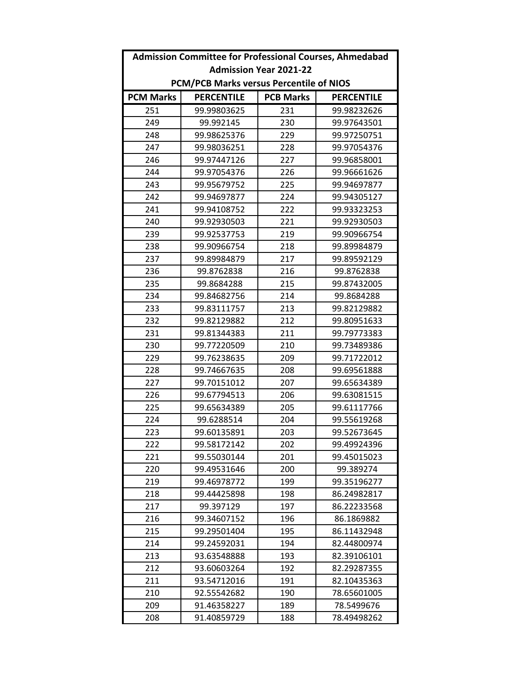|                                         | <b>Admission Committee for Professional Courses, Ahmedabad</b> |                  |                   |  |  |
|-----------------------------------------|----------------------------------------------------------------|------------------|-------------------|--|--|
| <b>Admission Year 2021-22</b>           |                                                                |                  |                   |  |  |
| PCM/PCB Marks versus Percentile of NIOS |                                                                |                  |                   |  |  |
| <b>PCM Marks</b>                        | <b>PERCENTILE</b>                                              | <b>PCB Marks</b> | <b>PERCENTILE</b> |  |  |
| 251                                     | 99.99803625                                                    | 231              | 99.98232626       |  |  |
| 249                                     | 99.992145                                                      | 230              | 99.97643501       |  |  |
| 248                                     | 99.98625376                                                    | 229              | 99.97250751       |  |  |
| 247                                     | 99.98036251                                                    | 228              | 99.97054376       |  |  |
| 246                                     | 99.97447126                                                    | 227              | 99.96858001       |  |  |
| 244                                     | 99.97054376                                                    | 226              | 99.96661626       |  |  |
| 243                                     | 99.95679752                                                    | 225              | 99.94697877       |  |  |
| 242                                     | 99.94697877                                                    | 224              | 99.94305127       |  |  |
| 241                                     | 99.94108752                                                    | 222              | 99.93323253       |  |  |
| 240                                     | 99.92930503                                                    | 221              | 99.92930503       |  |  |
| 239                                     | 99.92537753                                                    | 219              | 99.90966754       |  |  |
| 238                                     | 99.90966754                                                    | 218              | 99.89984879       |  |  |
| 237                                     | 99.89984879                                                    | 217              | 99.89592129       |  |  |
| 236                                     | 99.8762838                                                     | 216              | 99.8762838        |  |  |
| 235                                     | 99.8684288                                                     | 215              | 99.87432005       |  |  |
| 234                                     | 99.84682756                                                    | 214              | 99.8684288        |  |  |
| 233                                     | 99.83111757                                                    | 213              | 99.82129882       |  |  |
| 232                                     | 99.82129882                                                    | 212              | 99.80951633       |  |  |
| 231                                     | 99.81344383                                                    | 211              | 99.79773383       |  |  |
| 230                                     | 99.77220509                                                    | 210              | 99.73489386       |  |  |
| 229                                     | 99.76238635                                                    | 209              | 99.71722012       |  |  |
| 228                                     | 99.74667635                                                    | 208              | 99.69561888       |  |  |
| 227                                     | 99.70151012                                                    | 207              | 99.65634389       |  |  |
| 226                                     | 99.67794513                                                    | 206              | 99.63081515       |  |  |
| 225                                     | 99.65634389                                                    | 205              | 99.61117766       |  |  |
| 224                                     | 99.6288514                                                     | 204              | 99.55619268       |  |  |
| 223                                     | 99.60135891                                                    | 203              | 99.52673645       |  |  |
| 222                                     | 99.58172142                                                    | 202              | 99.49924396       |  |  |
| 221                                     | 99.55030144                                                    | 201              | 99.45015023       |  |  |
| 220                                     | 99.49531646                                                    | 200              | 99.389274         |  |  |
| 219                                     | 99.46978772                                                    | 199              | 99.35196277       |  |  |
| 218                                     | 99.44425898                                                    | 198              | 86.24982817       |  |  |
| 217                                     | 99.397129                                                      | 197              | 86.22233568       |  |  |
| 216                                     | 99.34607152                                                    | 196              | 86.1869882        |  |  |
| 215                                     | 99.29501404                                                    | 195              | 86.11432948       |  |  |
| 214                                     | 99.24592031                                                    | 194              | 82.44800974       |  |  |
| 213                                     | 93.63548888                                                    | 193              | 82.39106101       |  |  |
| 212                                     | 93.60603264                                                    | 192              | 82.29287355       |  |  |
| 211                                     | 93.54712016                                                    | 191              | 82.10435363       |  |  |
| 210                                     | 92.55542682                                                    | 190              | 78.65601005       |  |  |
| 209                                     | 91.46358227                                                    | 189              | 78.5499676        |  |  |
| 208                                     | 91.40859729                                                    | 188              | 78.49498262       |  |  |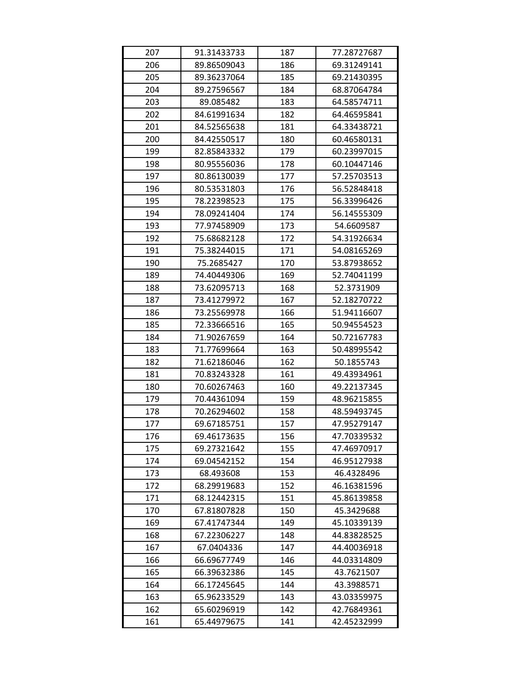| 207 | 91.31433733 | 187 | 77.28727687 |
|-----|-------------|-----|-------------|
| 206 | 89.86509043 | 186 | 69.31249141 |
| 205 | 89.36237064 | 185 | 69.21430395 |
| 204 | 89.27596567 | 184 | 68.87064784 |
| 203 | 89.085482   | 183 | 64.58574711 |
| 202 | 84.61991634 | 182 | 64.46595841 |
| 201 | 84.52565638 | 181 | 64.33438721 |
| 200 | 84.42550517 | 180 | 60.46580131 |
| 199 | 82.85843332 | 179 | 60.23997015 |
| 198 | 80.95556036 | 178 | 60.10447146 |
| 197 | 80.86130039 | 177 | 57.25703513 |
| 196 | 80.53531803 | 176 | 56.52848418 |
| 195 | 78.22398523 | 175 | 56.33996426 |
| 194 | 78.09241404 | 174 | 56.14555309 |
| 193 | 77.97458909 | 173 | 54.6609587  |
| 192 | 75.68682128 | 172 | 54.31926634 |
| 191 | 75.38244015 | 171 | 54.08165269 |
| 190 | 75.2685427  | 170 | 53.87938652 |
| 189 | 74.40449306 | 169 | 52.74041199 |
| 188 | 73.62095713 | 168 | 52.3731909  |
| 187 | 73.41279972 | 167 | 52.18270722 |
| 186 | 73.25569978 | 166 | 51.94116607 |
| 185 | 72.33666516 | 165 | 50.94554523 |
| 184 | 71.90267659 | 164 | 50.72167783 |
| 183 | 71.77699664 | 163 | 50.48995542 |
| 182 | 71.62186046 | 162 | 50.1855743  |
| 181 | 70.83243328 | 161 | 49.43934961 |
| 180 | 70.60267463 | 160 | 49.22137345 |
| 179 | 70.44361094 | 159 | 48.96215855 |
| 178 | 70.26294602 | 158 | 48.59493745 |
| 177 | 69.67185751 | 157 | 47.95279147 |
| 176 | 69.46173635 | 156 | 47.70339532 |
| 175 | 69.27321642 | 155 | 47.46970917 |
| 174 | 69.04542152 | 154 | 46.95127938 |
| 173 | 68.493608   | 153 | 46.4328496  |
| 172 | 68.29919683 | 152 | 46.16381596 |
| 171 | 68.12442315 | 151 | 45.86139858 |
| 170 | 67.81807828 | 150 | 45.3429688  |
| 169 | 67.41747344 | 149 | 45.10339139 |
| 168 | 67.22306227 | 148 | 44.83828525 |
| 167 | 67.0404336  | 147 | 44.40036918 |
| 166 | 66.69677749 | 146 | 44.03314809 |
| 165 | 66.39632386 | 145 | 43.7621507  |
| 164 | 66.17245645 | 144 | 43.3988571  |
| 163 | 65.96233529 | 143 | 43.03359975 |
| 162 | 65.60296919 | 142 | 42.76849361 |
| 161 | 65.44979675 | 141 | 42.45232999 |
|     |             |     |             |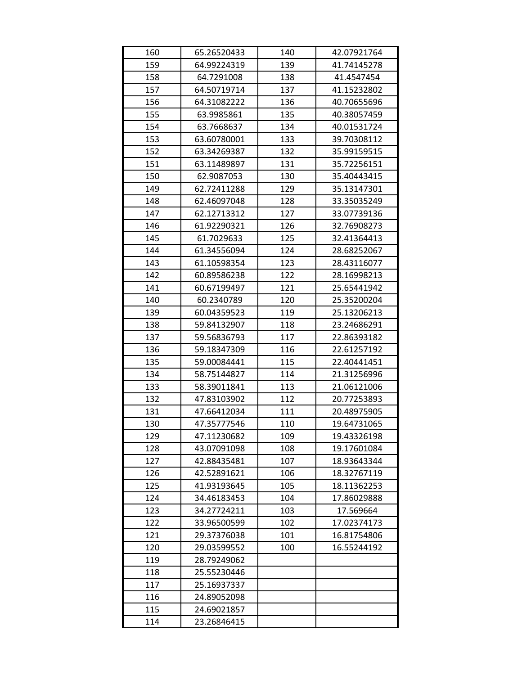| 160 | 65.26520433 | 140 | 42.07921764 |
|-----|-------------|-----|-------------|
| 159 | 64.99224319 | 139 | 41.74145278 |
| 158 | 64.7291008  | 138 | 41.4547454  |
| 157 | 64.50719714 | 137 | 41.15232802 |
| 156 | 64.31082222 | 136 | 40.70655696 |
| 155 | 63.9985861  | 135 | 40.38057459 |
| 154 | 63.7668637  | 134 | 40.01531724 |
| 153 | 63.60780001 | 133 | 39.70308112 |
| 152 | 63.34269387 | 132 | 35.99159515 |
| 151 | 63.11489897 | 131 | 35.72256151 |
| 150 | 62.9087053  | 130 | 35.40443415 |
| 149 | 62.72411288 | 129 | 35.13147301 |
| 148 | 62.46097048 | 128 | 33.35035249 |
| 147 | 62.12713312 | 127 | 33.07739136 |
| 146 | 61.92290321 | 126 | 32.76908273 |
| 145 | 61.7029633  | 125 | 32.41364413 |
| 144 | 61.34556094 | 124 | 28.68252067 |
| 143 | 61.10598354 | 123 | 28.43116077 |
| 142 | 60.89586238 | 122 | 28.16998213 |
| 141 | 60.67199497 | 121 | 25.65441942 |
| 140 | 60.2340789  | 120 | 25.35200204 |
| 139 | 60.04359523 | 119 | 25.13206213 |
| 138 | 59.84132907 | 118 | 23.24686291 |
| 137 | 59.56836793 | 117 | 22.86393182 |
| 136 | 59.18347309 | 116 | 22.61257192 |
| 135 | 59.00084441 | 115 | 22.40441451 |
| 134 | 58.75144827 | 114 | 21.31256996 |
| 133 | 58.39011841 | 113 | 21.06121006 |
| 132 | 47.83103902 | 112 | 20.77253893 |
| 131 | 47.66412034 | 111 | 20.48975905 |
| 130 | 47.35777546 | 110 | 19.64731065 |
| 129 | 47.11230682 | 109 | 19.43326198 |
| 128 | 43.07091098 | 108 | 19.17601084 |
| 127 | 42.88435481 | 107 | 18.93643344 |
| 126 | 42.52891621 | 106 | 18.32767119 |
| 125 | 41.93193645 | 105 | 18.11362253 |
| 124 | 34.46183453 | 104 | 17.86029888 |
| 123 | 34.27724211 | 103 | 17.569664   |
| 122 | 33.96500599 | 102 | 17.02374173 |
| 121 | 29.37376038 | 101 | 16.81754806 |
| 120 | 29.03599552 | 100 | 16.55244192 |
| 119 | 28.79249062 |     |             |
| 118 | 25.55230446 |     |             |
| 117 | 25.16937337 |     |             |
| 116 | 24.89052098 |     |             |
| 115 | 24.69021857 |     |             |
| 114 | 23.26846415 |     |             |
|     |             |     |             |